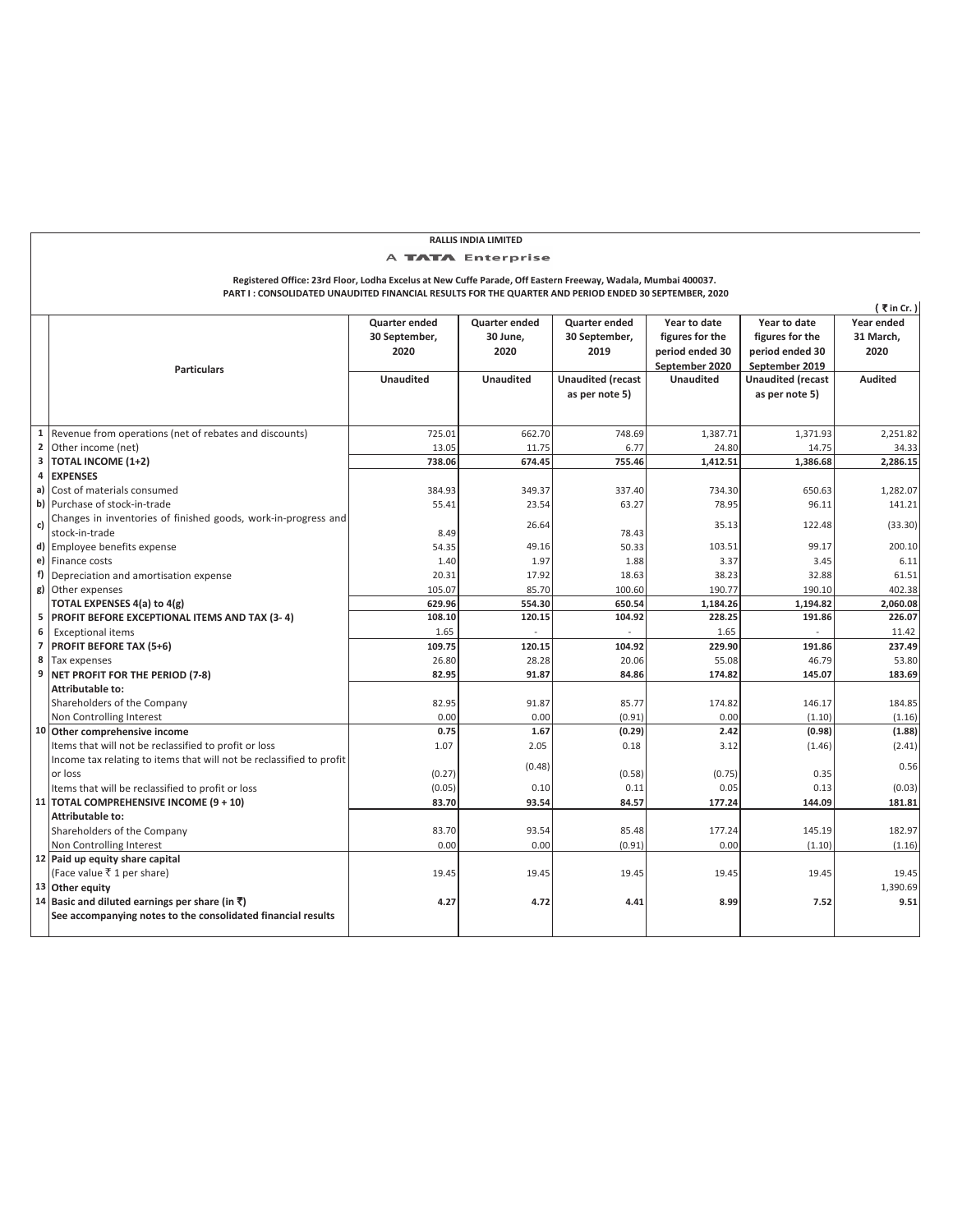## **Registered Office: 23rd Floor, Lodha Excelus at New Cuffe Parade, Off Eastern Freeway, Wadala, Mumbai 400037.**  A **TATA** Enterprise

**RALLIS INDIA LIMITED**

|                | Registered Office: 23rd Floor, Lodha Excelus at New Cuffe Parade, Off Eastern Freeway, Wadala, Mumbai 400037.<br>PART I: CONSOLIDATED UNAUDITED FINANCIAL RESULTS FOR THE QUARTER AND PERIOD ENDED 30 SEPTEMBER, 2020 |                                        |                                   |                                        |                                                                      |                                                                      |                                               |
|----------------|-----------------------------------------------------------------------------------------------------------------------------------------------------------------------------------------------------------------------|----------------------------------------|-----------------------------------|----------------------------------------|----------------------------------------------------------------------|----------------------------------------------------------------------|-----------------------------------------------|
|                | <b>Particulars</b>                                                                                                                                                                                                    | Quarter ended<br>30 September,<br>2020 | Quarter ended<br>30 June,<br>2020 | Quarter ended<br>30 September,<br>2019 | Year to date<br>figures for the<br>period ended 30<br>September 2020 | Year to date<br>figures for the<br>period ended 30<br>September 2019 | (₹in Cr. )<br>Year ended<br>31 March.<br>2020 |
|                |                                                                                                                                                                                                                       | <b>Unaudited</b>                       | <b>Unaudited</b>                  | <b>Unaudited (recast</b>               | <b>Unaudited</b>                                                     | <b>Unaudited (recast</b>                                             | <b>Audited</b>                                |
|                |                                                                                                                                                                                                                       |                                        |                                   | as per note 5)                         |                                                                      | as per note 5)                                                       |                                               |
| $\mathbf{1}$   | Revenue from operations (net of rebates and discounts)                                                                                                                                                                | 725.01                                 | 662.70                            | 748.69                                 | 1,387.71                                                             | 1,371.93                                                             | 2,251.82                                      |
| $\overline{2}$ | Other income (net)                                                                                                                                                                                                    | 13.05                                  | 11.75                             | 6.77                                   | 24.80                                                                | 14.75                                                                | 34.33                                         |
| 3              | <b>TOTAL INCOME (1+2)</b>                                                                                                                                                                                             | 738.06                                 | 674.45                            | 755.46                                 | 1,412.51                                                             | 1,386.68                                                             | 2,286.15                                      |
| 4              | <b>EXPENSES</b>                                                                                                                                                                                                       |                                        |                                   |                                        |                                                                      |                                                                      |                                               |
|                | a) Cost of materials consumed                                                                                                                                                                                         | 384.93                                 | 349.37                            | 337.40                                 | 734.30                                                               | 650.63                                                               | 1,282.07                                      |
|                | b) Purchase of stock-in-trade                                                                                                                                                                                         | 55.41                                  | 23.54                             | 63.27                                  | 78.95                                                                | 96.11                                                                | 141.21                                        |
| c)             | Changes in inventories of finished goods, work-in-progress and<br>stock-in-trade                                                                                                                                      | 8.49                                   | 26.64                             | 78.43                                  | 35.13                                                                | 122.48                                                               | (33.30)                                       |
|                | d) Employee benefits expense                                                                                                                                                                                          | 54.35                                  | 49.16                             | 50.33                                  | 103.51                                                               | 99.17                                                                | 200.10                                        |
|                | e) Finance costs                                                                                                                                                                                                      | 1.40                                   | 1.97                              | 1.88                                   | 3.37                                                                 | 3.45                                                                 | 6.11                                          |
|                | f) Depreciation and amortisation expense                                                                                                                                                                              | 20.31                                  | 17.92                             | 18.63                                  | 38.23                                                                | 32.88                                                                | 61.51                                         |
|                | g) Other expenses                                                                                                                                                                                                     | 105.07                                 | 85.70                             | 100.60                                 | 190.77                                                               | 190.10                                                               | 402.38                                        |
|                | TOTAL EXPENSES 4(a) to 4(g)                                                                                                                                                                                           | 629.96                                 | 554.30                            | 650.54                                 | 1,184.26                                                             | 1,194.82                                                             | 2,060.08                                      |
| 5              | <b>PROFIT BEFORE EXCEPTIONAL ITEMS AND TAX (3-4)</b>                                                                                                                                                                  | 108.10                                 | 120.15                            | 104.92                                 | 228.25                                                               | 191.86                                                               | 226.07                                        |
| 6              | <b>Exceptional items</b>                                                                                                                                                                                              | 1.65                                   |                                   |                                        | 1.65                                                                 |                                                                      | 11.42                                         |
|                | 7 PROFIT BEFORE TAX (5+6)                                                                                                                                                                                             | 109.75                                 | 120.15                            | 104.92                                 | 229.90                                                               | 191.86                                                               | 237.49                                        |
| 8              | Tax expenses                                                                                                                                                                                                          | 26.80                                  | 28.28                             | 20.06                                  | 55.08                                                                | 46.79                                                                | 53.80                                         |
|                | 9 NET PROFIT FOR THE PERIOD (7-8)                                                                                                                                                                                     | 82.95                                  | 91.87                             | 84.86                                  | 174.82                                                               | 145.07                                                               | 183.69                                        |
|                | Attributable to:                                                                                                                                                                                                      |                                        |                                   |                                        |                                                                      |                                                                      |                                               |
|                | Shareholders of the Company                                                                                                                                                                                           | 82.95                                  | 91.87                             | 85.77                                  | 174.82                                                               | 146.17                                                               | 184.85                                        |
|                | Non Controlling Interest                                                                                                                                                                                              | 0.00                                   | 0.00                              | (0.91)                                 | 0.00                                                                 | (1.10)                                                               | (1.16)                                        |
|                | 10 Other comprehensive income                                                                                                                                                                                         | 0.75                                   | 1.67                              | (0.29)                                 | 2.42                                                                 | (0.98)                                                               | (1.88)                                        |
|                | Items that will not be reclassified to profit or loss                                                                                                                                                                 | 1.07                                   | 2.05                              | 0.18                                   | 3.12                                                                 | (1.46)                                                               | (2.41)                                        |
|                | Income tax relating to items that will not be reclassified to profit                                                                                                                                                  |                                        | (0.48)                            |                                        |                                                                      |                                                                      | 0.56                                          |
|                | or loss                                                                                                                                                                                                               | (0.27)                                 |                                   | (0.58)                                 | (0.75)                                                               | 0.35                                                                 |                                               |
|                | Items that will be reclassified to profit or loss                                                                                                                                                                     | (0.05)                                 | 0.10                              | 0.11                                   | 0.05                                                                 | 0.13                                                                 | (0.03)                                        |
|                | 11 TOTAL COMPREHENSIVE INCOME (9 + 10)                                                                                                                                                                                | 83.70                                  | 93.54                             | 84.57                                  | 177.24                                                               | 144.09                                                               | 181.81                                        |
|                | Attributable to:                                                                                                                                                                                                      |                                        |                                   |                                        |                                                                      |                                                                      |                                               |
|                | Shareholders of the Company                                                                                                                                                                                           | 83.70                                  | 93.54                             | 85.48                                  | 177.24                                                               | 145.19                                                               | 182.97                                        |
|                | Non Controlling Interest                                                                                                                                                                                              | 0.00                                   | 0.00                              | (0.91)                                 | 0.00                                                                 | (1.10)                                                               | (1.16)                                        |
|                | 12 Paid up equity share capital                                                                                                                                                                                       |                                        |                                   |                                        |                                                                      |                                                                      |                                               |
|                | (Face value ₹ 1 per share)                                                                                                                                                                                            | 19.45                                  | 19.45                             | 19.45                                  | 19.45                                                                | 19.45                                                                | 19.45                                         |
|                | 13 Other equity                                                                                                                                                                                                       |                                        |                                   |                                        |                                                                      |                                                                      | 1,390.69                                      |
|                | 14 Basic and diluted earnings per share (in ₹)                                                                                                                                                                        | 4.27                                   | 4.72                              | 4.41                                   | 8.99                                                                 | 7.52                                                                 | 9.51                                          |
|                | See accompanying notes to the consolidated financial results                                                                                                                                                          |                                        |                                   |                                        |                                                                      |                                                                      |                                               |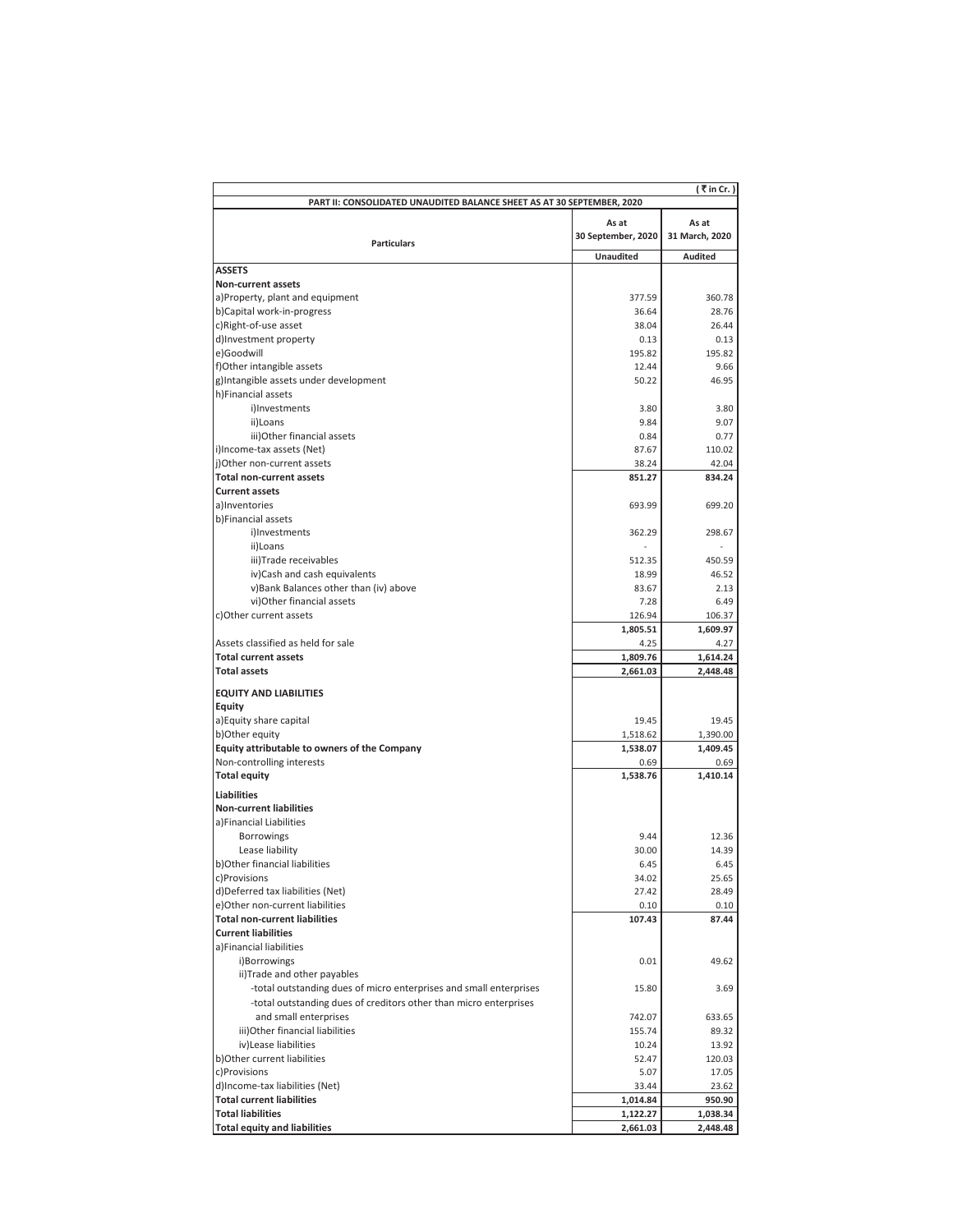| (₹in Cr.)<br>PART II: CONSOLIDATED UNAUDITED BALANCE SHEET AS AT 30 SEPTEMBER, 2020 |                      |                    |  |  |  |
|-------------------------------------------------------------------------------------|----------------------|--------------------|--|--|--|
| As at<br>As at                                                                      |                      |                    |  |  |  |
| <b>Particulars</b>                                                                  | 30 September, 2020   | 31 March, 2020     |  |  |  |
|                                                                                     | Unaudited            | <b>Audited</b>     |  |  |  |
| <b>ASSETS</b>                                                                       |                      |                    |  |  |  |
| Non-current assets                                                                  |                      |                    |  |  |  |
| a)Property, plant and equipment                                                     | 377.59               | 360.78             |  |  |  |
| b)Capital work-in-progress                                                          | 36.64                | 28.76              |  |  |  |
| c)Right-of-use asset<br>d)Investment property                                       | 38.04<br>0.13        | 26.44<br>0.13      |  |  |  |
| e)Goodwill                                                                          | 195.82               | 195.82             |  |  |  |
| f)Other intangible assets                                                           | 12.44                | 9.66               |  |  |  |
| g)Intangible assets under development                                               | 50.22                | 46.95              |  |  |  |
| h)Financial assets                                                                  |                      |                    |  |  |  |
| i)Investments                                                                       | 3.80                 | 3.80               |  |  |  |
| ii)Loans                                                                            | 9.84                 | 9.07               |  |  |  |
| iii)Other financial assets                                                          | 0.84                 | 0.77               |  |  |  |
| i)Income-tax assets (Net)                                                           | 87.67                | 110.02             |  |  |  |
| j)Other non-current assets<br><b>Total non-current assets</b>                       | 38.24<br>851.27      | 42.04<br>834.24    |  |  |  |
| <b>Current assets</b>                                                               |                      |                    |  |  |  |
| allnyentories                                                                       | 693.99               | 699.20             |  |  |  |
| b)Financial assets                                                                  |                      |                    |  |  |  |
| i)Investments                                                                       | 362.29               | 298.67             |  |  |  |
| ii)Loans                                                                            |                      |                    |  |  |  |
| iii)Trade receivables                                                               | 512.35               | 450.59             |  |  |  |
| iv)Cash and cash equivalents                                                        | 18.99                | 46.52              |  |  |  |
| v)Bank Balances other than (iv) above                                               | 83.67                | 2.13               |  |  |  |
| vi)Other financial assets                                                           | 7.28                 | 6.49               |  |  |  |
| c) Other current assets                                                             | 126.94               | 106.37             |  |  |  |
|                                                                                     | 1,805.51             | 1,609.97           |  |  |  |
| Assets classified as held for sale<br><b>Total current assets</b>                   | 4.25<br>1,809.76     | 4.27<br>1,614.24   |  |  |  |
| <b>Total assets</b>                                                                 | 2,661.03             | 2,448.48           |  |  |  |
|                                                                                     |                      |                    |  |  |  |
| <b>EQUITY AND LIABILITIES</b>                                                       |                      |                    |  |  |  |
| Equity<br>a) Equity share capital                                                   | 19.45                | 19.45              |  |  |  |
| b)Other equity                                                                      | 1,518.62             | 1,390.00           |  |  |  |
| Equity attributable to owners of the Company                                        | 1,538.07             | 1,409.45           |  |  |  |
| Non-controlling interests                                                           | 0.69                 | 0.69               |  |  |  |
| <b>Total equity</b>                                                                 | 1,538.76             | 1,410.14           |  |  |  |
| <b>Liabilities</b>                                                                  |                      |                    |  |  |  |
| <b>Non-current liabilities</b>                                                      |                      |                    |  |  |  |
| a) Financial Liabilities                                                            |                      |                    |  |  |  |
| <b>Borrowings</b>                                                                   | 9.44                 | 12.36              |  |  |  |
| Lease liability                                                                     | 30.00                | 14.39              |  |  |  |
| b) Other financial liabilities                                                      | 6.45                 | 6.45               |  |  |  |
| c)Provisions                                                                        | 34.02                | 25.65              |  |  |  |
| d)Deferred tax liabilities (Net)                                                    | 27.42                | 28.49              |  |  |  |
| e)Other non-current liabilities                                                     | 0.10                 | 0.10               |  |  |  |
| <b>Total non-current liabilities</b><br><b>Current liabilities</b>                  | 107.43               | 87.44              |  |  |  |
| a)Financial liabilities                                                             |                      |                    |  |  |  |
| i)Borrowings                                                                        | 0.01                 | 49.62              |  |  |  |
| ii)Trade and other payables                                                         |                      |                    |  |  |  |
| -total outstanding dues of micro enterprises and small enterprises                  | 15.80                | 3.69               |  |  |  |
| -total outstanding dues of creditors other than micro enterprises                   |                      |                    |  |  |  |
| and small enterprises                                                               | 742.07               | 633.65             |  |  |  |
| iii) Other financial liabilities                                                    | 155.74               | 89.32              |  |  |  |
| iv) Lease liabilities                                                               | 10.24                | 13.92              |  |  |  |
| b) Other current liabilities                                                        | 52.47                | 120.03             |  |  |  |
| c)Provisions                                                                        | 5.07                 | 17.05              |  |  |  |
| d)Income-tax liabilities (Net)                                                      | 33.44                | 23.62              |  |  |  |
| <b>Total current liabilities</b><br><b>Total liabilities</b>                        | 1,014.84<br>1,122.27 | 950.90<br>1,038.34 |  |  |  |
| <b>Total equity and liabilities</b>                                                 | 2,661.03             | 2,448.48           |  |  |  |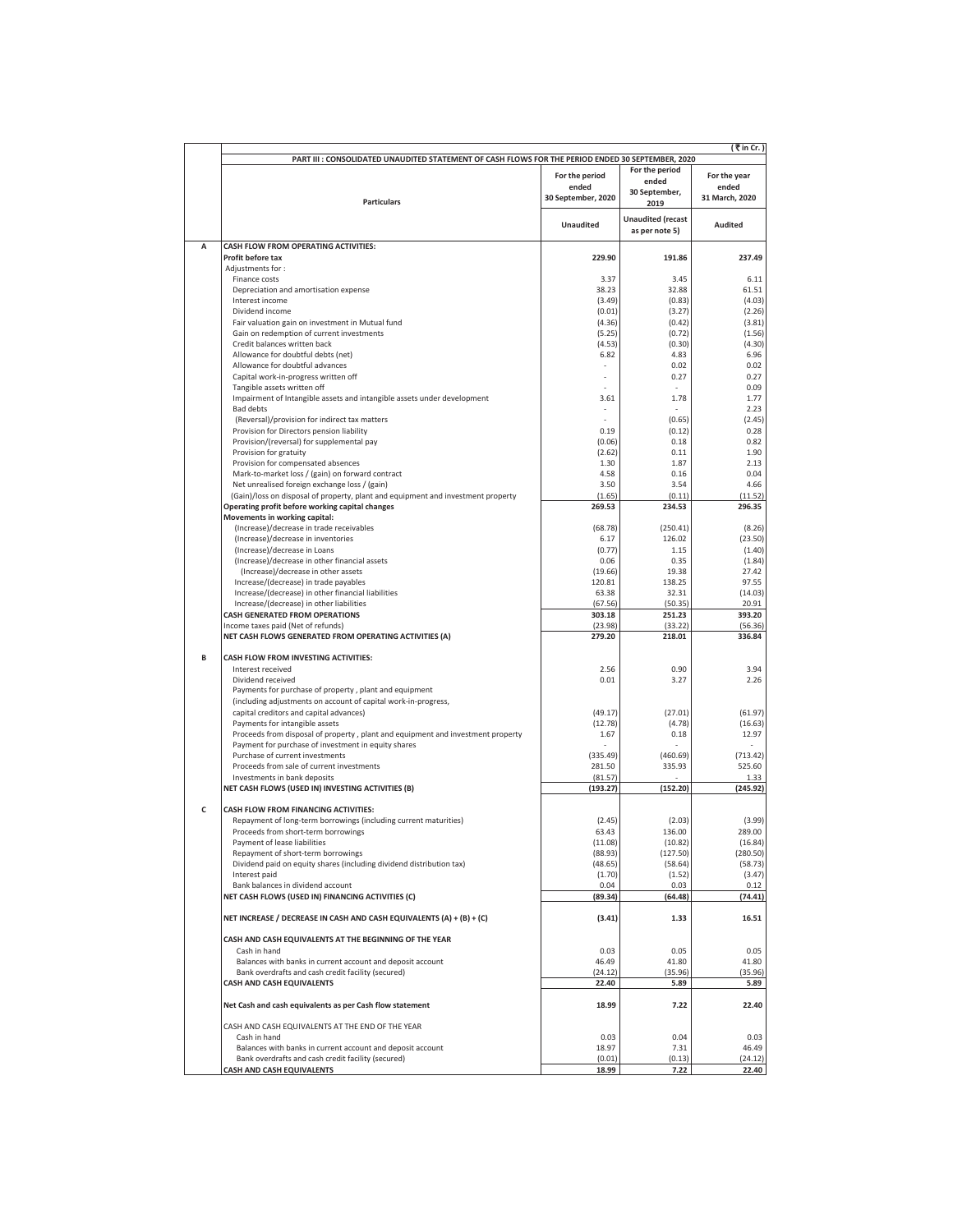|   | (₹in Cr.)                                                                                                                |                    |                                            |                     |  |  |
|---|--------------------------------------------------------------------------------------------------------------------------|--------------------|--------------------------------------------|---------------------|--|--|
|   | PART III : CONSOLIDATED UNAUDITED STATEMENT OF CASH FLOWS FOR THE PERIOD ENDED 30 SEPTEMBER, 2020                        |                    |                                            |                     |  |  |
|   |                                                                                                                          | For the period     | For the period<br>ended                    | For the year        |  |  |
|   |                                                                                                                          | ended              | 30 September,                              | ended               |  |  |
|   | <b>Particulars</b>                                                                                                       | 30 September, 2020 | 2019                                       | 31 March, 2020      |  |  |
|   |                                                                                                                          | Unaudited          | <b>Unaudited</b> (recast<br>as per note 5) | <b>Audited</b>      |  |  |
| А | CASH FLOW FROM OPERATING ACTIVITIES:                                                                                     |                    |                                            |                     |  |  |
|   | Profit before tax                                                                                                        | 229.90             | 191.86                                     | 237.49              |  |  |
|   | Adjustments for:<br>Finance costs                                                                                        | 3.37               | 3.45                                       | 6.11                |  |  |
|   | Depreciation and amortisation expense                                                                                    | 38.23              | 32.88                                      | 61.51               |  |  |
|   | Interest income                                                                                                          | (3.49)             | (0.83)                                     | (4.03)              |  |  |
|   | Dividend income                                                                                                          | (0.01)             | (3.27)                                     | (2.26)              |  |  |
|   | Fair valuation gain on investment in Mutual fund<br>Gain on redemption of current investments                            | (4.36)<br>(5.25)   | (0.42)<br>(0.72)                           | (3.81)<br>(1.56)    |  |  |
|   | Credit balances written back                                                                                             | (4.53)             | (0.30)                                     | (4.30)              |  |  |
|   | Allowance for doubtful debts (net)                                                                                       | 6.82               | 4.83                                       | 6.96                |  |  |
|   | Allowance for doubtful advances<br>Capital work-in-progress written off                                                  |                    | 0.02<br>0.27                               | 0.02<br>0.27        |  |  |
|   | Tangible assets written off                                                                                              |                    |                                            | 0.09                |  |  |
|   | Impairment of Intangible assets and intangible assets under development                                                  | 3.61               | 1.78                                       | 1.77                |  |  |
|   | <b>Bad debts</b>                                                                                                         |                    |                                            | 2.23                |  |  |
|   | (Reversal)/provision for indirect tax matters<br>Provision for Directors pension liability                               | 0.19               | (0.65)<br>(0.12)                           | (2.45)<br>0.28      |  |  |
|   | Provision/(reversal) for supplemental pay                                                                                | (0.06)             | 0.18                                       | 0.82                |  |  |
|   | Provision for gratuity                                                                                                   | (2.62)             | 0.11                                       | 1.90                |  |  |
|   | Provision for compensated absences                                                                                       | 1.30               | 1.87                                       | 2.13                |  |  |
|   | Mark-to-market loss / (gain) on forward contract<br>Net unrealised foreign exchange loss / (gain)                        | 4.58<br>3.50       | 0.16<br>3.54                               | 0.04<br>4.66        |  |  |
|   | (Gain)/loss on disposal of property, plant and equipment and investment property                                         | (1.65)             | (0.11)                                     | (11.52)             |  |  |
|   | Operating profit before working capital changes                                                                          | 269.53             | 234.53                                     | 296.35              |  |  |
|   | Movements in working capital:<br>(Increase)/decrease in trade receivables                                                | (68.78)            | (250.41)                                   | (8.26)              |  |  |
|   | (Increase)/decrease in inventories                                                                                       | 6.17               | 126.02                                     | (23.50)             |  |  |
|   | (Increase)/decrease in Loans                                                                                             | (0.77)             | 1.15                                       | (1.40)              |  |  |
|   | (Increase)/decrease in other financial assets                                                                            | 0.06               | 0.35                                       | (1.84)              |  |  |
|   | (Increase)/decrease in other assets<br>Increase/(decrease) in trade payables                                             | (19.66)<br>120.81  | 19.38<br>138.25                            | 27.42<br>97.55      |  |  |
|   | Increase/(decrease) in other financial liabilities                                                                       | 63.38              | 32.31                                      | (14.03)             |  |  |
|   | Increase/(decrease) in other liabilities                                                                                 | (67.56)            | (50.35)                                    | 20.91               |  |  |
|   | <b>CASH GENERATED FROM OPERATIONS</b>                                                                                    | 303.18             | 251.23                                     | 393.20              |  |  |
|   | Income taxes paid (Net of refunds)<br>NET CASH FLOWS GENERATED FROM OPERATING ACTIVITIES (A)                             | (23.98)<br>279.20  | (33.22)<br>218.01                          | (56.36)<br>336.84   |  |  |
| B | CASH FLOW FROM INVESTING ACTIVITIES:                                                                                     |                    |                                            |                     |  |  |
|   | Interest received                                                                                                        | 2.56               | 0.90                                       | 3.94                |  |  |
|   | Dividend received                                                                                                        | 0.01               | 3.27                                       | 2.26                |  |  |
|   | Payments for purchase of property, plant and equipment<br>(including adjustments on account of capital work-in-progress, |                    |                                            |                     |  |  |
|   | capital creditors and capital advances)                                                                                  | (49.17)            | (27.01)                                    | (61.97)             |  |  |
|   | Payments for intangible assets                                                                                           | (12.78)            | (4.78)                                     | (16.63)             |  |  |
|   | Proceeds from disposal of property, plant and equipment and investment property                                          | 1.67               | 0.18                                       | 12.97               |  |  |
|   | Payment for purchase of investment in equity shares<br>Purchase of current investments                                   | (335.49)           | (460.69)                                   | (713.42)            |  |  |
|   | Proceeds from sale of current investments                                                                                | 281.50             | 335.93                                     | 525.60              |  |  |
|   | Investments in bank deposits                                                                                             | (81.57)            |                                            | 1.33                |  |  |
|   | NET CASH FLOWS (USED IN) INVESTING ACTIVITIES (B)                                                                        | (193.27)           | (152.20)                                   | (245.92)            |  |  |
| c | CASH FLOW FROM FINANCING ACTIVITIES:                                                                                     |                    |                                            |                     |  |  |
|   | Repayment of long-term borrowings (including current maturities)                                                         | (2.45)             | (2.03)                                     | (3.99)              |  |  |
|   | Proceeds from short-term borrowings                                                                                      | 63.43              | 136.00                                     | 289.00              |  |  |
|   | Payment of lease liabilities                                                                                             | (11.08)<br>(88.93) | (10.82)                                    | (16.84)<br>(280.50) |  |  |
|   | Repayment of short-term borrowings<br>Dividend paid on equity shares (including dividend distribution tax)               | (48.65)            | (127.50)<br>(58.64)                        | (58.73)             |  |  |
|   | Interest paid                                                                                                            | (1.70)             | (1.52)                                     | (3.47)              |  |  |
|   | Bank balances in dividend account                                                                                        | 0.04               | 0.03                                       | 0.12                |  |  |
|   | NET CASH FLOWS (USED IN) FINANCING ACTIVITIES (C)                                                                        | (89.34)            | (64.48)                                    | (74.41)             |  |  |
|   | NET INCREASE / DECREASE IN CASH AND CASH EQUIVALENTS (A) + (B) + (C)                                                     | (3.41)             | 1.33                                       | 16.51               |  |  |
|   | CASH AND CASH EQUIVALENTS AT THE BEGINNING OF THE YEAR<br>Cash in hand                                                   | 0.03               | 0.05                                       | 0.05                |  |  |
|   | Balances with banks in current account and deposit account                                                               | 46.49              | 41.80                                      | 41.80               |  |  |
|   | Bank overdrafts and cash credit facility (secured)                                                                       | (24.12)            | (35.96)                                    | (35.96)             |  |  |
|   | <b>CASH AND CASH EQUIVALENTS</b>                                                                                         | 22.40              | 5.89                                       | 5.89                |  |  |
|   | Net Cash and cash equivalents as per Cash flow statement                                                                 | 18.99              | 7.22                                       | 22.40               |  |  |
|   | CASH AND CASH EQUIVALENTS AT THE END OF THE YEAR                                                                         |                    |                                            |                     |  |  |
|   | Cash in hand                                                                                                             | 0.03               | 0.04                                       | 0.03                |  |  |
|   | Balances with banks in current account and deposit account<br>Bank overdrafts and cash credit facility (secured)         | 18.97<br>(0.01)    | 7.31<br>(0.13)                             | 46.49<br>(24.12)    |  |  |
|   | CASH AND CASH EQUIVALENTS                                                                                                | 18.99              | 7.22                                       | 22.40               |  |  |